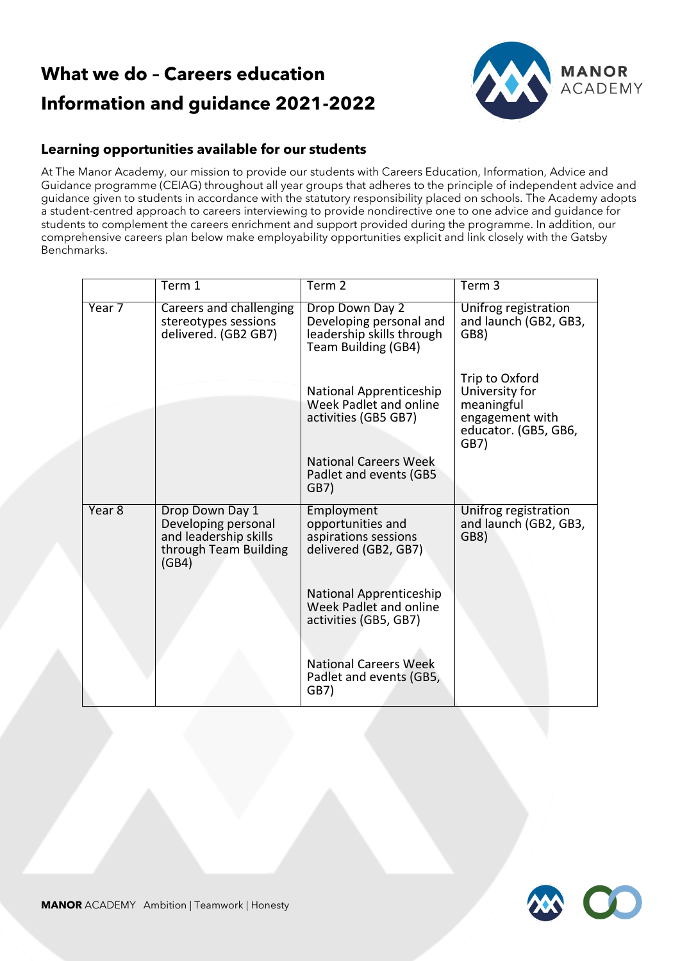## **What we do – Careers education Information and guidance 2021-2022**



## **Learning opportunities available for our students**

At The Manor Academy, our mission to provide our students with Careers Education, Information, Advice and Guidance programme (CEIAG) throughout all year groups that adheres to the principle of independent advice and guidance given to students in accordance with the statutory responsibility placed on schools. The Academy adopts a student-centred approach to careers interviewing to provide nondirective one to one advice and guidance for students to complement the careers enrichment and support provided during the programme. In addition, our comprehensive careers plan below make employability opportunities explicit and link closely with the Gatsby Benchmarks.

|        | Term 1                                                                                            | Term <sub>2</sub>                                                                              | Term <sub>3</sub>                                                                                 |
|--------|---------------------------------------------------------------------------------------------------|------------------------------------------------------------------------------------------------|---------------------------------------------------------------------------------------------------|
| Year 7 | Careers and challenging<br>stereotypes sessions<br>delivered. (GB2 GB7)                           | Drop Down Day 2<br>Developing personal and<br>leadership skills through<br>Team Building (GB4) | Unifrog registration<br>and launch (GB2, GB3,<br>GB8)                                             |
|        |                                                                                                   | National Apprenticeship<br>Week Padlet and online<br>activities (GB5 GB7)                      | Trip to Oxford<br>University for<br>meaningful<br>engagement with<br>educator. (GB5, GB6,<br>GB7) |
|        |                                                                                                   | <b>National Careers Week</b><br>Padlet and events (GB5<br>GB7)                                 |                                                                                                   |
| Year 8 | Drop Down Day 1<br>Developing personal<br>and leadership skills<br>through Team Building<br>(GB4) | Employment<br>opportunities and<br>aspirations sessions<br>delivered (GB2, GB7)                | Unifrog registration<br>and launch (GB2, GB3,<br>GB8)                                             |
|        |                                                                                                   | National Apprenticeship<br>Week Padlet and online<br>activities (GB5, GB7)                     |                                                                                                   |
|        |                                                                                                   | <b>National Careers Week</b><br>Padlet and events (GB5,<br>GB7)                                |                                                                                                   |

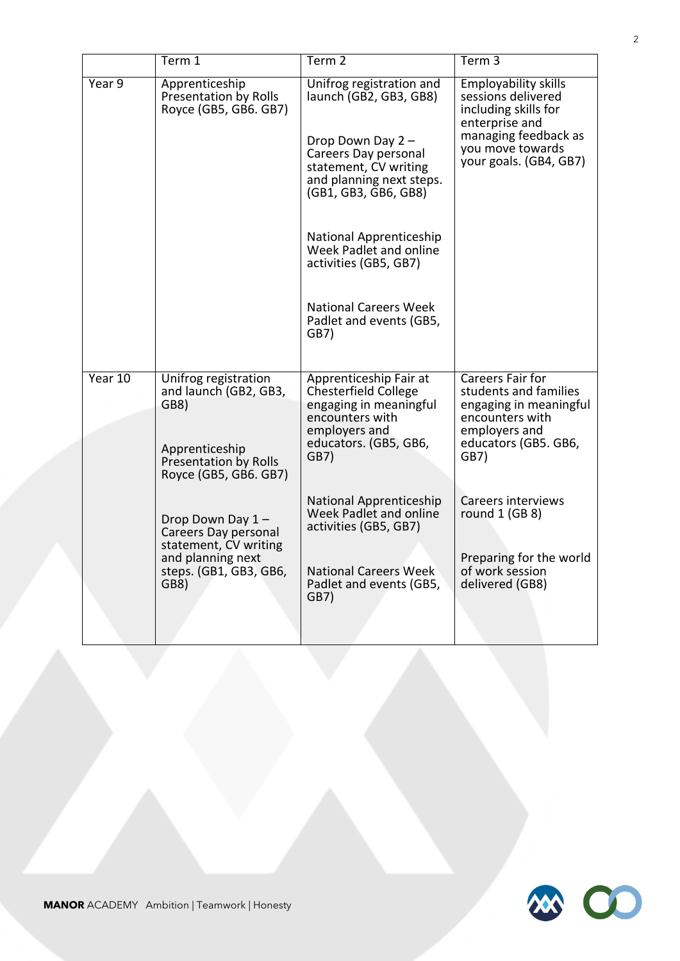|         | Term 1                                                                                                                    | Term <sub>2</sub>                                                                                                                                                            | Term <sub>3</sub>                                                                                                                                                 |
|---------|---------------------------------------------------------------------------------------------------------------------------|------------------------------------------------------------------------------------------------------------------------------------------------------------------------------|-------------------------------------------------------------------------------------------------------------------------------------------------------------------|
| Year9   | Apprenticeship<br>Presentation by Rolls<br>Royce (GB5, GB6. GB7)                                                          | Unifrog registration and<br>launch (GB2, GB3, GB8)<br>Drop Down Day 2 -<br>Careers Day personal<br>statement, CV writing<br>and planning next steps.<br>(GB1, GB3, GB6, GB8) | <b>Employability skills</b><br>sessions delivered<br>including skills for<br>enterprise and<br>managing feedback as<br>you move towards<br>your goals. (GB4, GB7) |
|         |                                                                                                                           | National Apprenticeship<br>Week Padlet and online<br>activities (GB5, GB7)                                                                                                   |                                                                                                                                                                   |
|         |                                                                                                                           | <b>National Careers Week</b><br>Padlet and events (GB5,<br>GB7)                                                                                                              |                                                                                                                                                                   |
| Year 10 | Unifrog registration<br>and launch (GB2, GB3,<br>GB8)<br>Apprenticeship<br>Presentation by Rolls<br>Royce (GB5, GB6. GB7) | Apprenticeship Fair at<br><b>Chesterfield College</b><br>engaging in meaningful<br>encounters with<br>employers and<br>educators. (GB5, GB6,<br>GB7)                         | Careers Fair for<br>students and families<br>engaging in meaningful<br>encounters with<br>employers and<br>educators (GB5. GB6,<br>GB7)                           |
|         | Drop Down Day 1-<br>Careers Day personal<br>statement, CV writing<br>and planning next<br>steps. (GB1, GB3, GB6,<br>GB8)  | National Apprenticeship<br>Week Padlet and online<br>activities (GB5, GB7)<br><b>National Careers Week</b><br>Padlet and events (GB5,<br>GB7)                                | Careers interviews<br>round $1$ (GB 8)<br>Preparing for the world<br>of work session<br>delivered (GB8)                                                           |